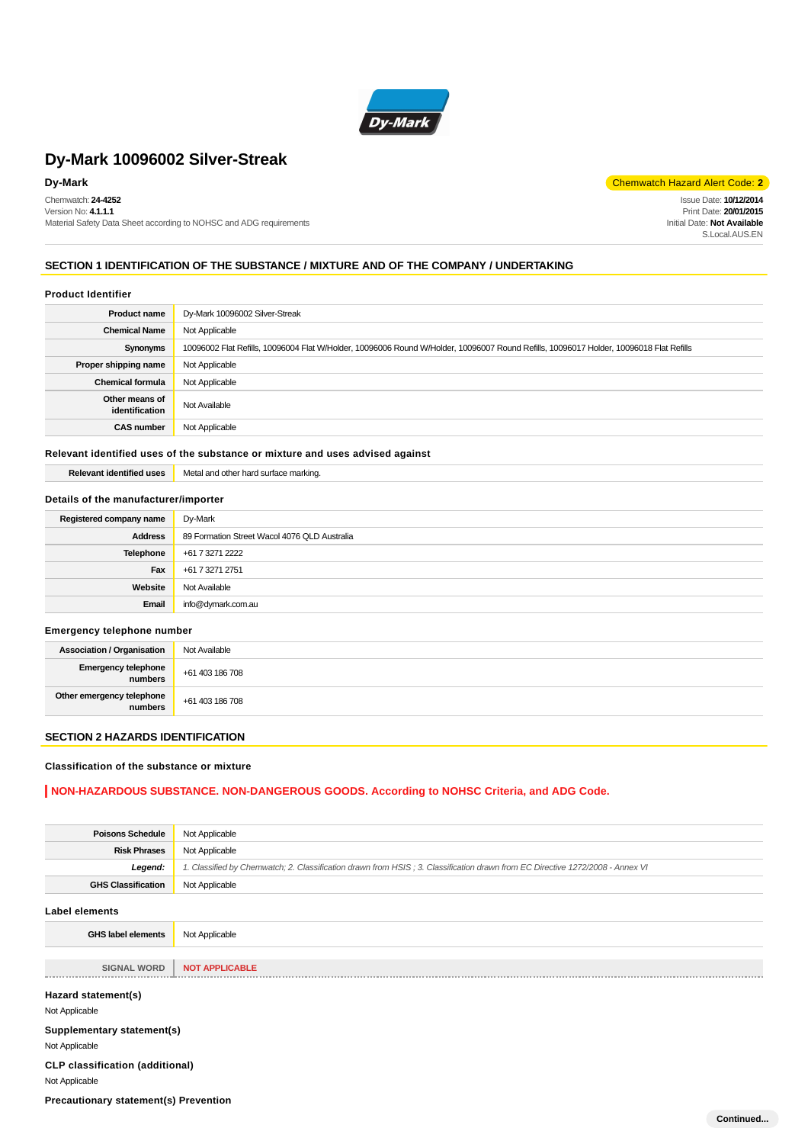

Chemwatch: **24-4252** Version No: **4.1.1.1** Material Safety Data Sheet according to NOHSC and ADG requirements

**Dy-Mark** Chemwatch Hazard Alert Code: **2** 

Issue Date: **10/12/2014** Print Date: **20/01/2015** Initial Date: **Not Available** S. Local AUS FN

### **SECTION 1 IDENTIFICATION OF THE SUBSTANCE / MIXTURE AND OF THE COMPANY / UNDERTAKING**

#### **Product Identifier**

| <b>Product name</b>              | Dy-Mark 10096002 Silver-Streak                                                                                                         |
|----------------------------------|----------------------------------------------------------------------------------------------------------------------------------------|
| <b>Chemical Name</b>             | Not Applicable                                                                                                                         |
| Synonyms                         | 10096002 Flat Refills, 10096004 Flat W/Holder, 10096006 Round W/Holder, 10096007 Round Refills, 10096017 Holder, 10096018 Flat Refills |
| Proper shipping name             | Not Applicable                                                                                                                         |
| <b>Chemical formula</b>          | Not Applicable                                                                                                                         |
| Other means of<br>identification | Not Available                                                                                                                          |
| <b>CAS number</b>                | Not Applicable                                                                                                                         |

#### **Relevant identified uses of the substance or mixture and uses advised against**

**Relevant identified uses** Metal and other hard surface marking.

### **Details of the manufacturer/importer**

| Registered company name | Dy-Mark                                      |
|-------------------------|----------------------------------------------|
| <b>Address</b>          | 89 Formation Street Wacol 4076 QLD Australia |
| Telephone               | +61 7 3271 2222                              |
| Fax                     | +61 7 3271 2751                              |
| Website                 | Not Available                                |
| Email                   | info@dymark.com.au                           |

#### **Emergency telephone number**

| . .<br>. .                           |                 |
|--------------------------------------|-----------------|
| <b>Association / Organisation</b>    | Not Available   |
| Emergency telephone<br>numbers       | +61 403 186 708 |
| Other emergency telephone<br>numbers | +61 403 186 708 |

### **SECTION 2 HAZARDS IDENTIFICATION**

#### **Classification of the substance or mixture**

### **NON-HAZARDOUS SUBSTANCE. NON-DANGEROUS GOODS. According to NOHSC Criteria, and ADG Code.**

| <b>Poisons Schedule</b>                      | Not Applicable                                                                                                                |
|----------------------------------------------|-------------------------------------------------------------------------------------------------------------------------------|
| <b>Risk Phrases</b>                          | Not Applicable                                                                                                                |
| Legend:                                      | 1. Classified by Chemwatch; 2. Classification drawn from HSIS; 3. Classification drawn from EC Directive 1272/2008 - Annex VI |
| <b>GHS Classification</b>                    | Not Applicable                                                                                                                |
| <b>Label elements</b>                        |                                                                                                                               |
| <b>GHS label elements</b>                    | Not Applicable                                                                                                                |
|                                              |                                                                                                                               |
| <b>SIGNAL WORD</b>                           | <b>NOT APPLICABLE</b>                                                                                                         |
| Hazard statement(s)                          |                                                                                                                               |
| Not Applicable                               |                                                                                                                               |
| Supplementary statement(s)                   |                                                                                                                               |
| Not Applicable                               |                                                                                                                               |
| <b>CLP classification (additional)</b>       |                                                                                                                               |
| Not Applicable                               |                                                                                                                               |
| <b>Precautionary statement(s) Prevention</b> |                                                                                                                               |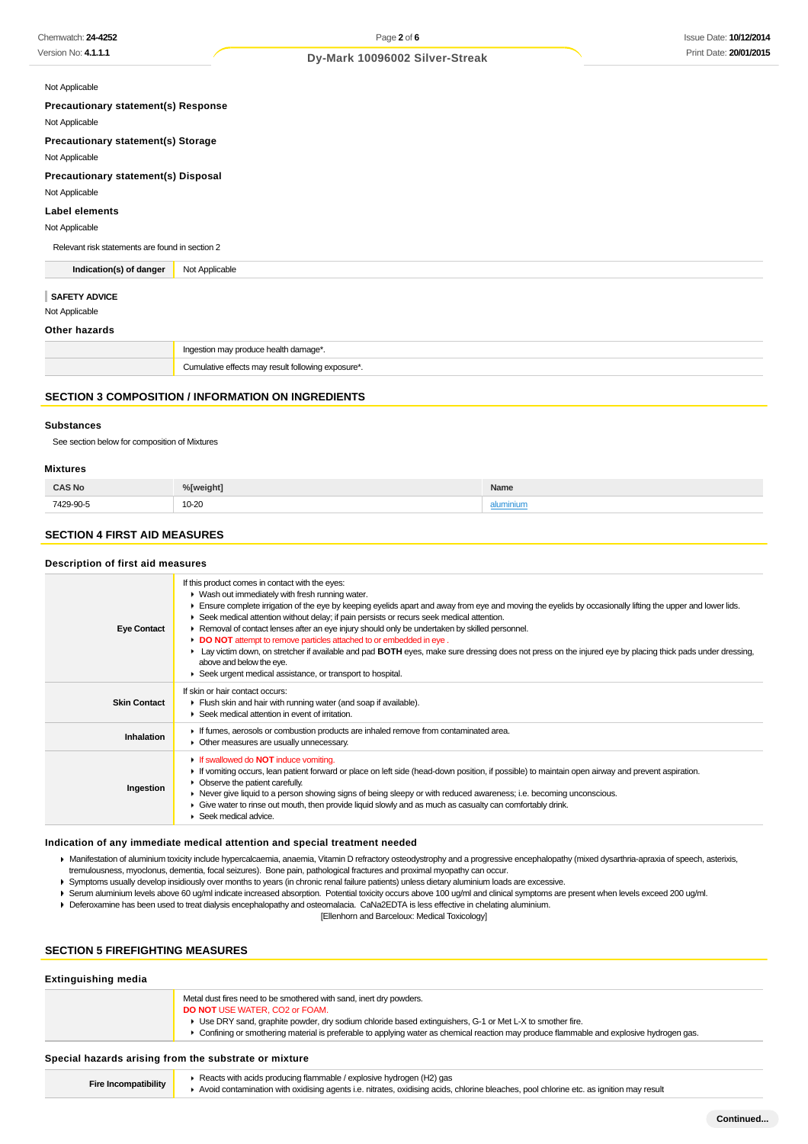| Not Applicable |  |
|----------------|--|
|----------------|--|

**Precautionary statement(s) Response**

Not Applicable

**Precautionary statement(s) Storage**

Not Applicable

**Precautionary statement(s) Disposal**

Not Applicable

**Label elements**

Not Applicable

Relevant risk statements are found in section 2

**Indication(s) of danger** Not Applicable

#### **SAFETY ADVICE**

Not Applicable

#### **Other hazards**

|  | Ingestion may produce health damage*.              |
|--|----------------------------------------------------|
|  | Cumulative effects may result following exposure*. |

#### **SECTION 3 COMPOSITION / INFORMATION ON INGREDIENTS**

#### **Substances**

See section below for composition of Mixtures

#### **Mixtures**

| <b>CAS No</b>  | <sup>o</sup> / <sub>N</sub> weight | Name    |
|----------------|------------------------------------|---------|
| 7429-90-5<br>. | 10-20                              | umınıun |

### **SECTION 4 FIRST AID MEASURES**

#### **Description of first aid measures**

| <b>Eye Contact</b>  | If this product comes in contact with the eyes:<br>▶ Wash out immediately with fresh running water.<br>Ensure complete irrigation of the eye by keeping eyelids apart and away from eye and moving the eyelids by occasionally lifting the upper and lower lids.<br>▶ Seek medical attention without delay; if pain persists or recurs seek medical attention.<br>▶ Removal of contact lenses after an eye injury should only be undertaken by skilled personnel.<br>DO NOT attempt to remove particles attached to or embedded in eye.<br>Lay victim down, on stretcher if available and pad BOTH eyes, make sure dressing does not press on the injured eye by placing thick pads under dressing,<br>above and below the eye.<br>Seek urgent medical assistance, or transport to hospital. |
|---------------------|----------------------------------------------------------------------------------------------------------------------------------------------------------------------------------------------------------------------------------------------------------------------------------------------------------------------------------------------------------------------------------------------------------------------------------------------------------------------------------------------------------------------------------------------------------------------------------------------------------------------------------------------------------------------------------------------------------------------------------------------------------------------------------------------|
| <b>Skin Contact</b> | If skin or hair contact occurs:<br>Flush skin and hair with running water (and soap if available).<br>▶ Seek medical attention in event of irritation.                                                                                                                                                                                                                                                                                                                                                                                                                                                                                                                                                                                                                                       |
| Inhalation          | If fumes, aerosols or combustion products are inhaled remove from contaminated area.<br>• Other measures are usually unnecessary.                                                                                                                                                                                                                                                                                                                                                                                                                                                                                                                                                                                                                                                            |
| Ingestion           | <b>If swallowed do NOT induce vomiting.</b><br>If vomiting occurs, lean patient forward or place on left side (head-down position, if possible) to maintain open airway and prevent aspiration.<br>• Observe the patient carefully.<br>► Never give liquid to a person showing signs of being sleepy or with reduced awareness; i.e. becoming unconscious.<br>Give water to rinse out mouth, then provide liquid slowly and as much as casualty can comfortably drink.<br>Seek medical advice.                                                                                                                                                                                                                                                                                               |

#### **Indication of any immediate medical attention and special treatment needed**

Manifestation of aluminium toxicity include hypercalcaemia, anaemia, Vitamin D refractory osteodystrophy and a progressive encephalopathy (mixed dysarthria-apraxia of speech, asterixis, tremulousness, myoclonus, dementia, focal seizures). Bone pain, pathological fractures and proximal myopathy can occur.

- Symptoms usually develop insidiously over months to years (in chronic renal failure patients) unless dietary aluminium loads are excessive.
- Serum aluminium levels above 60 ug/ml indicate increased absorption. Potential toxicity occurs above 100 ug/ml and clinical symptoms are present when levels exceed 200 ug/ml.

▶ Deferoxamine has been used to treat dialysis encephalopathy and osteomalacia. CaNa2EDTA is less effective in chelating aluminium.

[Ellenhorn and Barceloux: Medical Toxicology]

### **SECTION 5 FIREFIGHTING MEASURES**

### **Extinguishing media** Metal dust fires need to be smothered with sand, inert dry powders. **DO NOT** USE WATER, CO2 or FOAM. Use DRY sand, graphite powder, dry sodium chloride based extinguishers, G-1 or Met L-X to smother fire. Confining or smothering material is preferable to applying water as chemical reaction may produce flammable and explosive hydrogen gas. **Special hazards arising from the substrate or mixture Fire Incompatibility Reacts with acids producing flammable / explosive hydrogen (H2) gas** Avoid contamination with oxidising agents i.e. nitrates, oxidising acids, chlorine bleaches, pool chlorine etc. as ignition may result

**Continued...**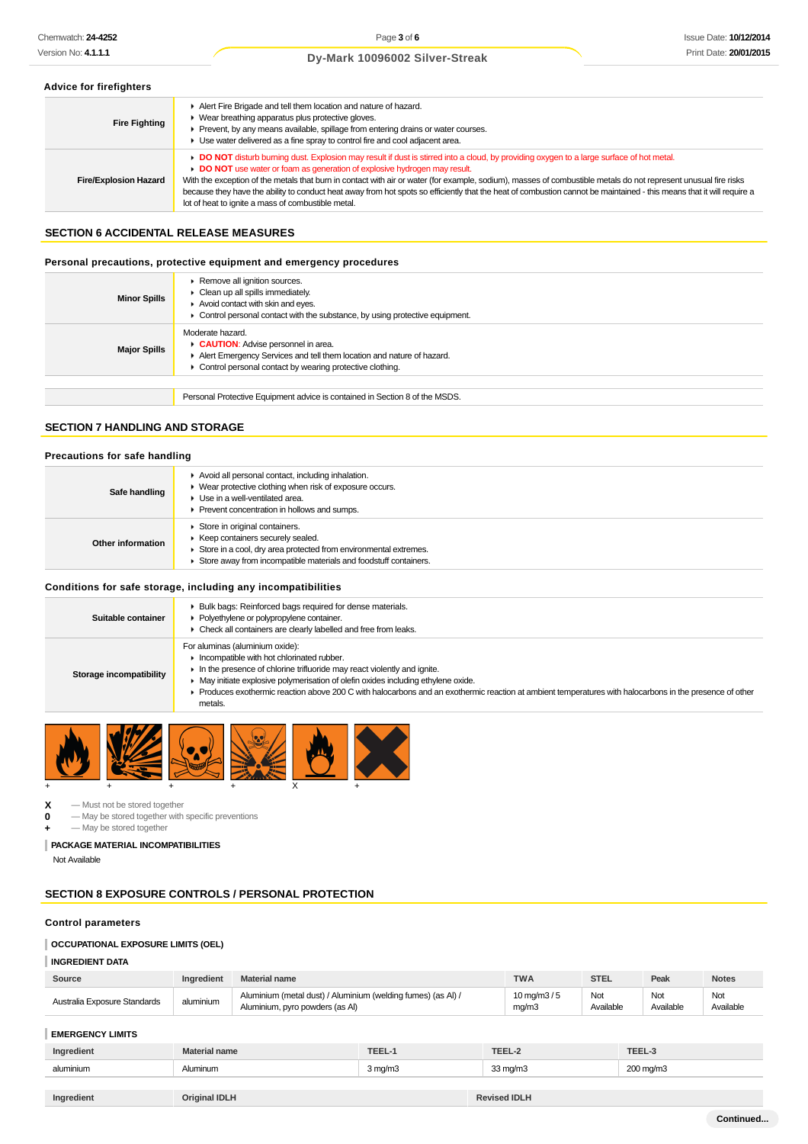#### **Advice for firefighters**

| <b>Fire Fighting</b>         | Alert Fire Brigade and tell them location and nature of hazard.<br>• Wear breathing apparatus plus protective gloves.<br>Prevent, by any means available, spillage from entering drains or water courses.<br>Use water delivered as a fine spray to control fire and cool adjacent area.                                                                                                                                                                                                                                                                                                                              |
|------------------------------|-----------------------------------------------------------------------------------------------------------------------------------------------------------------------------------------------------------------------------------------------------------------------------------------------------------------------------------------------------------------------------------------------------------------------------------------------------------------------------------------------------------------------------------------------------------------------------------------------------------------------|
| <b>Fire/Explosion Hazard</b> | DO NOT disturb burning dust. Explosion may result if dust is stirred into a cloud, by providing oxygen to a large surface of hot metal.<br>DO NOT use water or foam as generation of explosive hydrogen may result.<br>With the exception of the metals that burn in contact with air or water (for example, sodium), masses of combustible metals do not represent unusual fire risks<br>because they have the ability to conduct heat away from hot spots so efficiently that the heat of combustion cannot be maintained - this means that it will require a<br>lot of heat to ignite a mass of combustible metal. |

#### **SECTION 6 ACCIDENTAL RELEASE MEASURES**

#### **Personal precautions, protective equipment and emergency procedures**

| <b>Minor Spills</b> | Remove all ignition sources.<br>$\triangleright$ Clean up all spills immediately.<br>Avoid contact with skin and eyes.<br>• Control personal contact with the substance, by using protective equipment. |
|---------------------|---------------------------------------------------------------------------------------------------------------------------------------------------------------------------------------------------------|
| <b>Major Spills</b> | Moderate hazard.<br>CAUTION: Advise personnel in area.<br>Alert Emergency Services and tell them location and nature of hazard.<br>• Control personal contact by wearing protective clothing.           |
|                     |                                                                                                                                                                                                         |
|                     | Personal Protective Equipment advice is contained in Section 8 of the MSDS.                                                                                                                             |

### **SECTION 7 HANDLING AND STORAGE**

#### **Precautions for safe handling**

| Safe handling     | Avoid all personal contact, including inhalation.<br>▶ Wear protective clothing when risk of exposure occurs.<br>Use in a well-ventilated area.<br>▶ Prevent concentration in hollows and sumps.            |
|-------------------|-------------------------------------------------------------------------------------------------------------------------------------------------------------------------------------------------------------|
| Other information | Store in original containers.<br>▶ Keep containers securely sealed.<br>Store in a cool, dry area protected from environmental extremes.<br>Store away from incompatible materials and foodstuff containers. |

### **Conditions for safe storage, including any incompatibilities**

| Suitable container      | ▶ Bulk bags: Reinforced bags required for dense materials.<br>• Polyethylene or polypropylene container.<br>• Check all containers are clearly labelled and free from leaks.                                                                                                                                                                                                                                       |
|-------------------------|--------------------------------------------------------------------------------------------------------------------------------------------------------------------------------------------------------------------------------------------------------------------------------------------------------------------------------------------------------------------------------------------------------------------|
| Storage incompatibility | For aluminas (aluminium oxide):<br>Incompatible with hot chlorinated rubber.<br>In the presence of chlorine trifluoride may react violently and ignite.<br>• May initiate explosive polymerisation of olefin oxides including ethylene oxide.<br>Produces exothermic reaction above 200 C with halocarbons and an exothermic reaction at ambient temperatures with halocarbons in the presence of other<br>metals. |



 $\begin{array}{ccc} \mathbf{X} & -\text{Must not be stored together} \\ \mathbf{0} & -\text{May be stored together with} \end{array}$ 

- **0** May be stored together with specific preventions
- **+** May be stored together

### **PACKAGE MATERIAL INCOMPATIBILITIES**

Not Available

### **SECTION 8 EXPOSURE CONTROLS / PERSONAL PROTECTION**

#### **Control parameters**

### **OCCUPATIONAL EXPOSURE LIMITS (OEL)**

#### **INGREDIENT DATA**

| Source                       | Ingredient | <b>Material name</b>                                                                            | <b>TWA</b>                       | <b>STEL</b>      | Peak             | <b>Notes</b>     |
|------------------------------|------------|-------------------------------------------------------------------------------------------------|----------------------------------|------------------|------------------|------------------|
| Australia Exposure Standards | aluminium  | Aluminium (metal dust) / Aluminium (welding fumes) (as Al) /<br>Aluminium, pyro powders (as Al) | $10 \,\mathrm{mq/m}3/5$<br>mq/m3 | Not<br>Available | Not<br>Available | Not<br>Available |

### **EMERGENCY LIMITS**

| Ingredient | .      | <b>TEEL</b> | <b>TEEL</b> | <b>TEEL</b>      |
|------------|--------|-------------|-------------|------------------|
| aluminium  | uminun | 3 ma/mപ     | ≀ma/m3      | $\sim$<br>`ma/m. |
|            |        |             |             |                  |

| Ingredient | <b>Original IDLH</b> | <b>Revised IDLH</b> |
|------------|----------------------|---------------------|
|------------|----------------------|---------------------|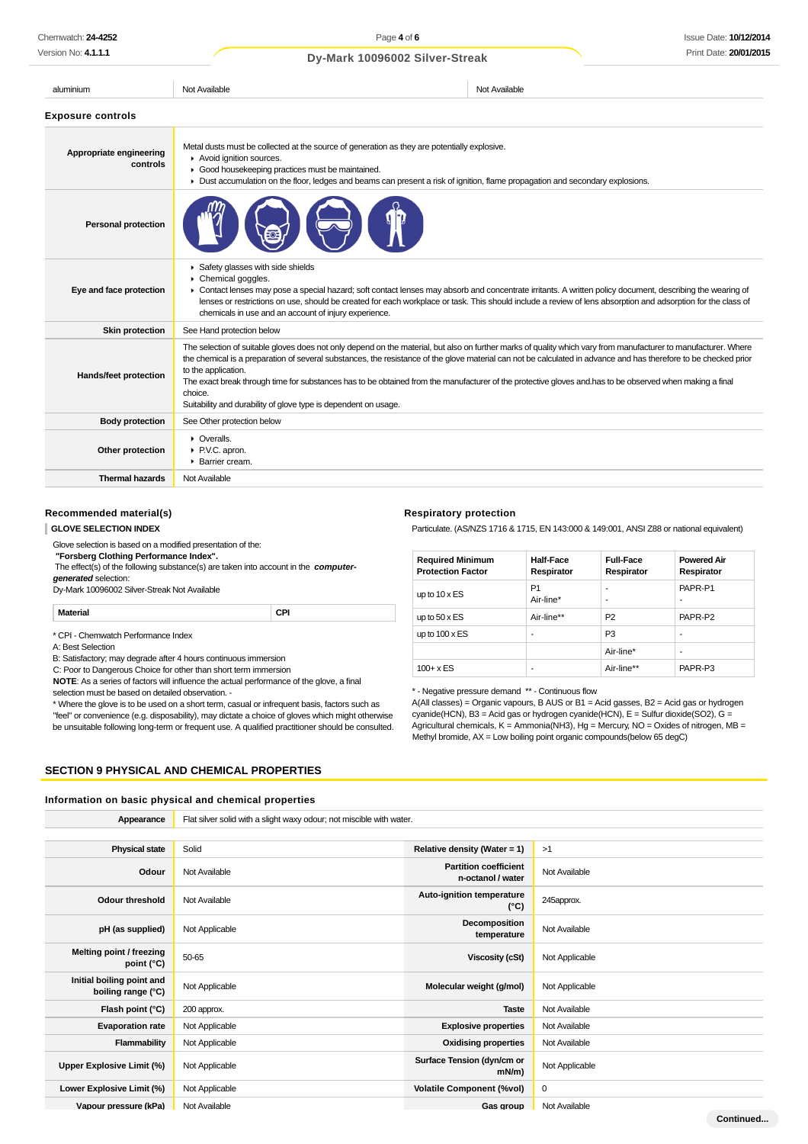| Print Date: 20/01/2015<br>Version No: 4.1.1.1<br>Dy-Mark 10096002 Silver-Streak |                                                                                                                                                                                                                                                                                                            |                                                                                                                                                                                                                                                                                                                                     |  |
|---------------------------------------------------------------------------------|------------------------------------------------------------------------------------------------------------------------------------------------------------------------------------------------------------------------------------------------------------------------------------------------------------|-------------------------------------------------------------------------------------------------------------------------------------------------------------------------------------------------------------------------------------------------------------------------------------------------------------------------------------|--|
| aluminium                                                                       | Not Available                                                                                                                                                                                                                                                                                              | Not Available                                                                                                                                                                                                                                                                                                                       |  |
| <b>Exposure controls</b>                                                        |                                                                                                                                                                                                                                                                                                            |                                                                                                                                                                                                                                                                                                                                     |  |
| Appropriate engineering<br>controls                                             | Metal dusts must be collected at the source of generation as they are potentially explosive.<br>Avoid ignition sources.<br>Good housekeeping practices must be maintained.<br>Dust accumulation on the floor, ledges and beams can present a risk of ignition, flame propagation and secondary explosions. |                                                                                                                                                                                                                                                                                                                                     |  |
| <b>Personal protection</b>                                                      |                                                                                                                                                                                                                                                                                                            |                                                                                                                                                                                                                                                                                                                                     |  |
| Eye and face protection                                                         | Safety glasses with side shields<br>Chemical goggles.<br>chemicals in use and an account of injury experience.                                                                                                                                                                                             | • Contact lenses may pose a special hazard; soft contact lenses may absorb and concentrate irritants. A written policy document, describing the wearing of<br>lenses or restrictions on use, should be created for each workplace or task. This should include a review of lens absorption and adsorption for the class of          |  |
| Skin protection                                                                 | See Hand protection below                                                                                                                                                                                                                                                                                  |                                                                                                                                                                                                                                                                                                                                     |  |
| Hands/feet protection                                                           | to the application.<br>The exact break through time for substances has to be obtained from the manufacturer of the protective gloves and has to be observed when making a final<br>choice.<br>Suitability and durability of glove type is dependent on usage.                                              | The selection of suitable gloves does not only depend on the material, but also on further marks of quality which vary from manufacturer to manufacturer. Where<br>the chemical is a preparation of several substances, the resistance of the glove material can not be calculated in advance and has therefore to be checked prior |  |
| <b>Body protection</b>                                                          | See Other protection below                                                                                                                                                                                                                                                                                 |                                                                                                                                                                                                                                                                                                                                     |  |
| Other protection                                                                | • Overalls.<br>P.V.C. apron.<br>▶ Barrier cream.                                                                                                                                                                                                                                                           |                                                                                                                                                                                                                                                                                                                                     |  |
| <b>Thermal hazards</b>                                                          | Not Available                                                                                                                                                                                                                                                                                              |                                                                                                                                                                                                                                                                                                                                     |  |

#### **Recommended material(s)**

#### **GLOVE SELECTION INDEX**

Glove selection is based on a modified presentation of the:  **"Forsberg Clothing Performance Index".** The effect(s) of the following substance(s) are taken into account in the **computergenerated** selection: Dy-Mark 10096002 Silver-Streak Not Available

**Material CPI**

\* CPI - Chemwatch Performance Index

A: Best Selection

B: Satisfactory; may degrade after 4 hours continuous immersion

C: Poor to Dangerous Choice for other than short term immersion

**NOTE**: As a series of factors will influence the actual performance of the glove, a final

selection must be based on detailed observation. -

\* Where the glove is to be used on a short term, casual or infrequent basis, factors such as "feel" or convenience (e.g. disposability), may dictate a choice of gloves which might otherwise be unsuitable following long-term or frequent use. A qualified practitioner should be consulted.

#### **Respiratory protection**

Particulate. (AS/NZS 1716 & 1715, EN 143:000 & 149:001, ANSI Z88 or national equivalent)

| <b>Required Minimum</b><br><b>Protection Factor</b> | <b>Half-Face</b><br>Respirator | <b>Full-Face</b><br>Respirator | <b>Powered Air</b><br>Respirator |
|-----------------------------------------------------|--------------------------------|--------------------------------|----------------------------------|
| up to $10 \times ES$                                | P <sub>1</sub><br>Air-line*    | ۰<br>٠                         | PAPR-P1<br>۰                     |
| up to $50 \times ES$                                | Air-line**                     | P <sub>2</sub>                 | PAPR-P2                          |
| up to $100 \times ES$                               | -                              | P <sub>3</sub>                 | -                                |
|                                                     |                                | Air-line*                      | -                                |
| $100 + x ES$                                        | -                              | Air-line**                     | PAPR-P3                          |

\* - Negative pressure demand \*\* - Continuous flow

A(All classes) = Organic vapours, B AUS or B1 = Acid gasses, B2 = Acid gas or hydrogen cyanide(HCN), B3 = Acid gas or hydrogen cyanide(HCN), E = Sulfur dioxide(SO2), G = Agricultural chemicals, K = Ammonia(NH3), Hg = Mercury, NO = Oxides of nitrogen, MB = Methyl bromide,  $AX = Low$  boiling point organic compounds(below 65 degC)

#### **SECTION 9 PHYSICAL AND CHEMICAL PROPERTIES**

#### **Information on basic physical and chemical properties**

| Appearance                                      | Flat silver solid with a slight waxy odour; not miscible with water. |                                                   |                |
|-------------------------------------------------|----------------------------------------------------------------------|---------------------------------------------------|----------------|
|                                                 |                                                                      |                                                   |                |
| <b>Physical state</b>                           | Solid                                                                | Relative density (Water = 1)                      | >1             |
| Odour                                           | Not Available                                                        | <b>Partition coefficient</b><br>n-octanol / water | Not Available  |
| <b>Odour threshold</b>                          | Not Available                                                        | Auto-ignition temperature<br>$(^{\circ}C)$        | 245approx.     |
| pH (as supplied)                                | Not Applicable                                                       | Decomposition<br>temperature                      | Not Available  |
| Melting point / freezing<br>point (°C)          | 50-65                                                                | Viscosity (cSt)                                   | Not Applicable |
| Initial boiling point and<br>boiling range (°C) | Not Applicable                                                       | Molecular weight (g/mol)                          | Not Applicable |
| Flash point (°C)                                | 200 approx.                                                          | <b>Taste</b>                                      | Not Available  |
| <b>Evaporation rate</b>                         | Not Applicable                                                       | <b>Explosive properties</b>                       | Not Available  |
| Flammability                                    | Not Applicable                                                       | <b>Oxidising properties</b>                       | Not Available  |
| Upper Explosive Limit (%)                       | Not Applicable                                                       | Surface Tension (dyn/cm or<br>$mN/m$ )            | Not Applicable |
| Lower Explosive Limit (%)                       | Not Applicable                                                       | <b>Volatile Component (%vol)</b>                  | 0              |
| Vapour pressure (kPa)                           | Not Available                                                        | Gas group                                         | Not Available  |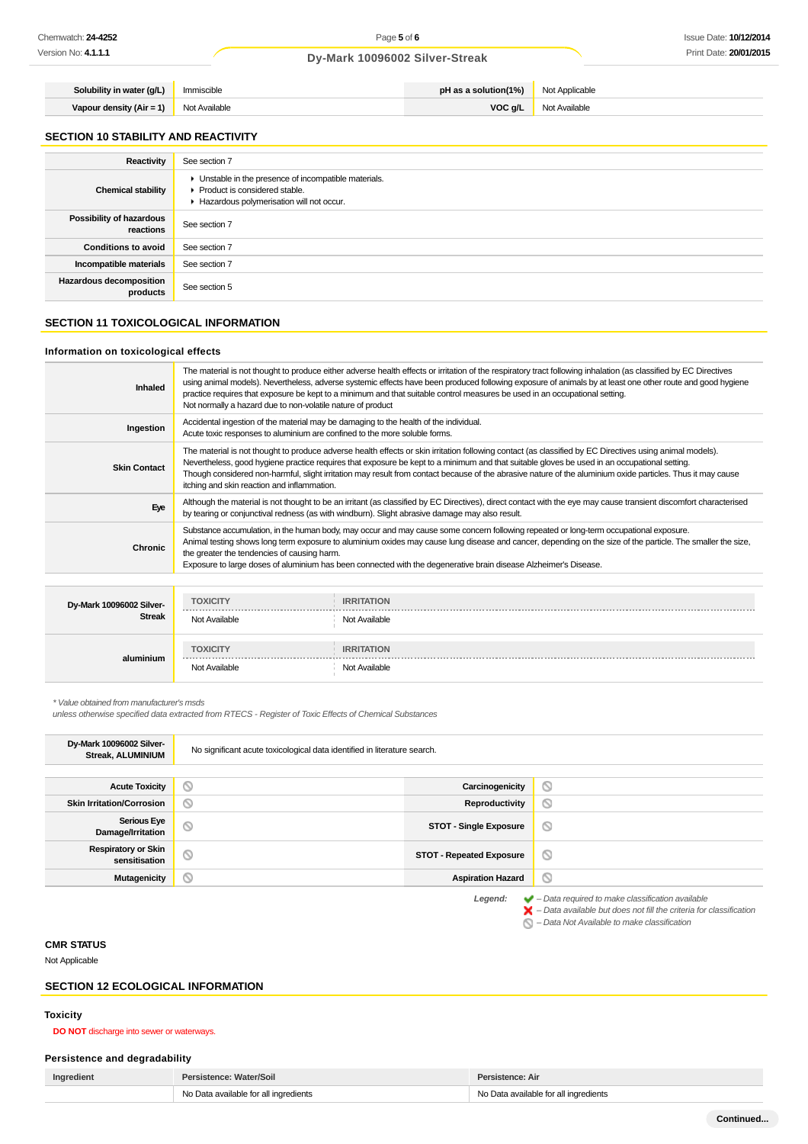| Solubility in water (g/L)    | Immiscible    | pH as a solution(1%) $\parallel$ | Not Applicable |
|------------------------------|---------------|----------------------------------|----------------|
| Vapour density ( $Air = 1$ ) | Not Available | VOC g/L                          | Not Available  |

## **SECTION 10 STABILITY AND REACTIVITY**

| Reactivity                            | See section 7                                                                                                                      |
|---------------------------------------|------------------------------------------------------------------------------------------------------------------------------------|
| <b>Chemical stability</b>             | • Unstable in the presence of incompatible materials.<br>Product is considered stable.<br>Hazardous polymerisation will not occur. |
| Possibility of hazardous<br>reactions | See section 7                                                                                                                      |
| <b>Conditions to avoid</b>            | See section 7                                                                                                                      |
| Incompatible materials                | See section 7                                                                                                                      |
| Hazardous decomposition<br>products   | See section 5                                                                                                                      |

## **SECTION 11 TOXICOLOGICAL INFORMATION**

#### **Information on toxicological effects**

|                          | The material is not thought to produce either adverse health effects or irritation of the respiratory tract following inhalation (as classified by EC Directives                                                                                                                                                                                                                                                                                                                                                       |
|--------------------------|------------------------------------------------------------------------------------------------------------------------------------------------------------------------------------------------------------------------------------------------------------------------------------------------------------------------------------------------------------------------------------------------------------------------------------------------------------------------------------------------------------------------|
| Inhaled                  | using animal models). Nevertheless, adverse systemic effects have been produced following exposure of animals by at least one other route and good hygiene<br>practice requires that exposure be kept to a minimum and that suitable control measures be used in an occupational setting.<br>Not normally a hazard due to non-volatile nature of product                                                                                                                                                               |
| Ingestion                | Accidental ingestion of the material may be damaging to the health of the individual.<br>Acute toxic responses to aluminium are confined to the more soluble forms.                                                                                                                                                                                                                                                                                                                                                    |
| <b>Skin Contact</b>      | The material is not thought to produce adverse health effects or skin irritation following contact (as classified by EC Directives using animal models).<br>Nevertheless, good hygiene practice requires that exposure be kept to a minimum and that suitable gloves be used in an occupational setting.<br>Though considered non-harmful, slight irritation may result from contact because of the abrasive nature of the aluminium oxide particles. Thus it may cause<br>itching and skin reaction and inflammation. |
| Eye                      | Although the material is not thought to be an irritant (as classified by EC Directives), direct contact with the eye may cause transient discomfort characterised<br>by tearing or conjunctival redness (as with windburn). Slight abrasive damage may also result.                                                                                                                                                                                                                                                    |
| <b>Chronic</b>           | Substance accumulation, in the human body, may occur and may cause some concern following repeated or long-term occupational exposure.<br>Animal testing shows long term exposure to aluminium oxides may cause lung disease and cancer, depending on the size of the particle. The smaller the size,<br>the greater the tendencies of causing harm.<br>Exposure to large doses of aluminium has been connected with the degenerative brain disease Alzheimer's Disease.                                               |
|                          |                                                                                                                                                                                                                                                                                                                                                                                                                                                                                                                        |
| Dy-Mark 10096002 Silver- | <b>TOXICITY</b><br><b>IRRITATION</b>                                                                                                                                                                                                                                                                                                                                                                                                                                                                                   |

| Dy-Mark 10096002 Silver-<br><b>Streak</b> | 19000111<br>-------------<br>Not Available | <b>INNHAIDIN</b><br>Not Available  |
|-------------------------------------------|--------------------------------------------|------------------------------------|
| aluminium                                 | <b>TOXICITY</b><br>Not Available           | <b>IRRITATION</b><br>Not Available |

\* Value obtained from manufacturer's msds

unless otherwise specified data extracted from RTECS - Register of Toxic Effects of Chemical Substances

| Dy-Mark 10096002 Silver-<br><b>Streak, ALUMINIUM</b> | No significant acute toxicological data identified in literature search. |                                 |                     |
|------------------------------------------------------|--------------------------------------------------------------------------|---------------------------------|---------------------|
|                                                      |                                                                          |                                 |                     |
| <b>Acute Toxicity</b>                                | $\circ$                                                                  | Carcinogenicity                 | $\circlearrowright$ |
| <b>Skin Irritation/Corrosion</b>                     | O                                                                        | Reproductivity                  | $\circ$             |
| <b>Serious Eye</b><br>Damage/Irritation              | $\circlearrowright$                                                      | <b>STOT - Single Exposure</b>   | O                   |
| <b>Respiratory or Skin</b><br>sensitisation          | $\circlearrowright$                                                      | <b>STOT - Repeated Exposure</b> | $\circ$             |
| <b>Mutagenicity</b>                                  | $\odot$                                                                  | <b>Aspiration Hazard</b>        | O                   |
|                                                      |                                                                          |                                 |                     |

**Legend:**  $\bullet$  – Data required to make classification available<br>  $\bullet$  – Data available but does not fill the criteria for classification

– Data Not Available to make classification

#### **CMR STATUS**

Not Applicable

### **SECTION 12 ECOLOGICAL INFORMATION**

#### **Toxicity**

**DO NOT** discharge into sewer or waterways.

#### **Persistence and degradability**

| Ingredient | Persistence: Water/Soil               | Persistence: Air                      |  |
|------------|---------------------------------------|---------------------------------------|--|
|            | No Data available for all ingredients | No Data available for all ingredients |  |